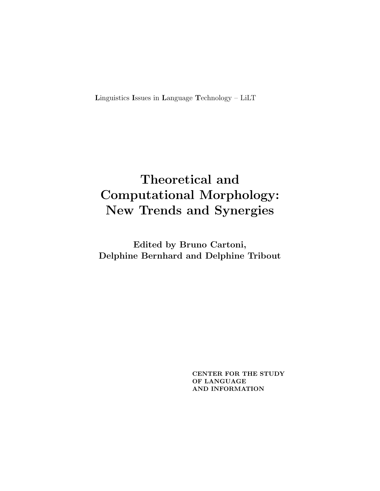Linguistics Issues in Language Technology - LiLT

# Theoretical and **Computational Morphology:** New Trends and Synergies

Edited by Bruno Cartoni, Delphine Bernhard and Delphine Tribout

> CENTER FOR THE STUDY OF LANGUAGE AND INFORMATION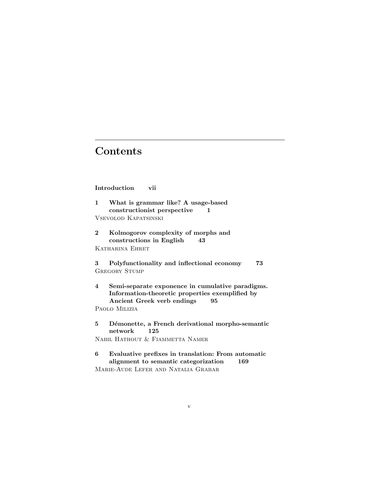## **Contents**

### Introduction vii

- 1 What is grammar like? A usage-based constructionist perspective 1 Vsevolod Kapatsinski
- 2 Kolmogorov complexity of morphs and constructions in English 43 Katharina Ehret

3 Polyfunctionality and inflectional economy 73 GREGORY STUMP

4 Semi-separate exponence in cumulative paradigms. Information-theoretic properties exemplified by Ancient Greek verb endings 95

Paolo Milizia

5 Démonette, a French derivational morpho-semantic network 125 Nabil Hathout & Fiammetta Namer

6 Evaluative prefixes in translation: From automatic alignment to semantic categorization 169 Marie-Aude Lefer and Natalia Grabar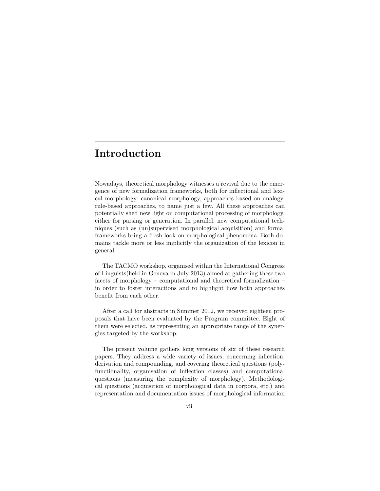## Introduction

Nowadays, theoretical morphology witnesses a revival due to the emergence of new formalization frameworks, both for inflectional and lexical morphology: canonical morphology, approaches based on analogy, rule-based approaches, to name just a few. All these approaches can potentially shed new light on computational processing of morphology, either for parsing or generation. In parallel, new computational techniques (such as (un)supervised morphological acquisition) and formal frameworks bring a fresh look on morphological phenomena. Both domains tackle more or less implicitly the organization of the lexicon in general

The TACMO workshop, organised within the International Congress of Linguists(held in Geneva in July 2013) aimed at gathering these two facets of morphology – computational and theoretical formalization – in order to foster interactions and to highlight how both approaches benefit from each other.

After a call for abstracts in Summer 2012, we received eighteen proposals that have been evaluated by the Program committee. Eight of them were selected, as representing an appropriate range of the synergies targeted by the workshop.

The present volume gathers long versions of six of these research papers. They address a wide variety of issues, concerning inflection, derivation and compounding, and covering theoretical questions (polyfunctionality, organisation of inflection classes) and computational questions (measuring the complexity of morphology). Methodological questions (acquisition of morphological data in corpora, etc.) and representation and documentation issues of morphological information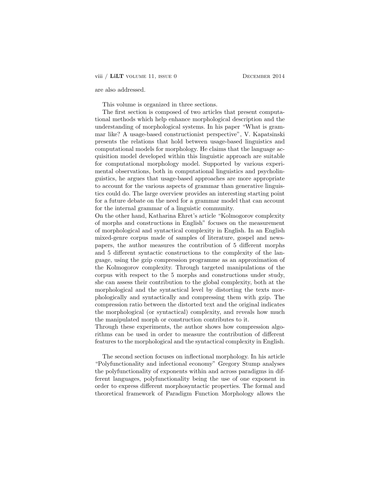are also addressed.

This volume is organized in three sections.

The first section is composed of two articles that present computational methods which help enhance morphological description and the understanding of morphological systems. In his paper "What is grammar like? A usage-based constructionist perspective", V. Kapatsinski presents the relations that hold between usage-based linguistics and computational models for morphology. He claims that the language acquisition model developed within this linguistic approach are suitable for computational morphology model. Supported by various experimental observations, both in computational linguistics and psycholinguistics, he argues that usage-based approaches are more appropriate to account for the various aspects of grammar than generative linguistics could do. The large overview provides an interesting starting point for a future debate on the need for a grammar model that can account for the internal grammar of a linguistic community.

On the other hand, Katharina Ehret's article "Kolmogorov complexity of morphs and constructions in English" focuses on the measurement of morphological and syntactical complexity in English. In an English mixed-genre corpus made of samples of literature, gospel and newspapers, the author measures the contribution of 5 different morphs and 5 different syntactic constructions to the complexity of the language, using the gzip compression programme as an approximation of the Kolmogorov complexity. Through targeted manipulations of the corpus with respect to the 5 morphs and constructions under study, she can assess their contribution to the global complexity, both at the morphological and the syntactical level by distorting the texts morphologically and syntactically and compressing them with gzip. The compression ratio between the distorted text and the original indicates the morphological (or syntactical) complexity, and reveals how much the manipulated morph or construction contributes to it.

Through these experiments, the author shows how compression algorithms can be used in order to measure the contribution of different features to the morphological and the syntactical complexity in English.

The second section focuses on inflectional morphology. In his article "Polyfunctionality and infectional economy" Gregory Stump analyses the polyfunctionality of exponents within and across paradigms in different languages, polyfunctionality being the use of one exponent in order to express different morphosyntactic properties. The formal and theoretical framework of Paradigm Function Morphology allows the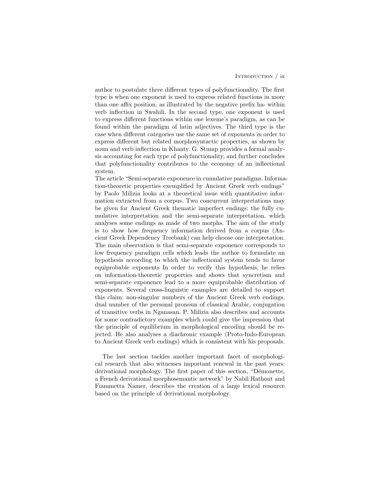#### INTRODUCTION / ix

author to postulate three different types of polyfunctionality. The first type is when one exponent is used to express related functions in more than one affix position, as illustrated by the negative prefix ha- within verb inflection in Swahili. In the second type, one exponent is used to express different functions within one lexeme's paradigm, as can be found within the paradigm of latin adjectives. The third type is the case when different categories use the same set of exponents in order to express different but related morphosyntactic properties, as shown by noun and verb inflection in Khanty. G. Stump provides a formal analysis accounting for each type of polyfunctionality, and further concludes that polyfunctionality contributes to the economy of an inflectional system.

The article "Semi-separate exponence in cumulative paradigms. Information-theoretic properties exemplified by Ancient Greek verb endings" by Paolo Milizia looks at a theoretical issue with quantitative information extracted from a corpus. Two concurrent interpretations may be given for Ancient Greek thematic imperfect endings: the fully cumulative interpretation and the semi-separate interpretation, which analyses some endings as made of two morphs. The aim of the study is to show how frequency information derived from a corpus (Ancient Greek Dependency Treebank) can help choose one interpretation. The main observation is that semi-separate exponence corresponds to low frequency paradigm cells which leads the author to formulate an hypothesis according to which the inflectional system tends to favor equiprobable exponents In order to verify this hypothesis, he relies on information-theoretic properties and shows that syncretism and semi-separate exponence lead to a more equiprobable distribution of exponents. Several cross-linguistic examples are detailed to support this claim: non-singular numbers of the Ancient Greek verb endings, dual number of the personal pronoun of classical Arabic, conjugation of transitive verbs in Nganasan. P. Milizia also describes and accounts for some contradictory examples which could give the impression that the principle of equilibrium in morphological encoding should be rejected. He also analyses a diachronic example (Proto-Indo-European to Ancient Greek verb endings) which is consistent with his proposals.

The last section tackles another important facet of morphological research that also witnesses important renewal in the past years: derivational morphology. The first paper of this section, "Démonette, a French derivational morphosemantic network" by Nabil Hathout and Fiammetta Namer, describes the creation of a large lexical resource based on the principle of derivational morphology.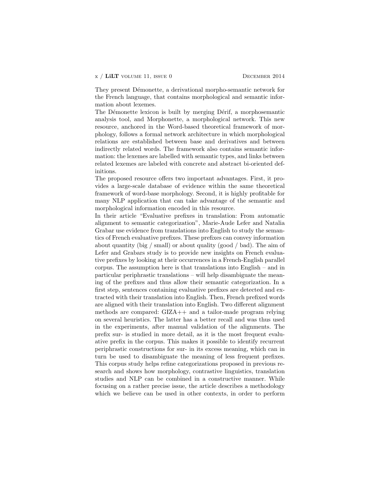They present Démonette, a derivational morpho-semantic network for the French language, that contains morphological and semantic information about lexemes.

The Démonette lexicon is built by merging Dérif, a morphosemantic analysis tool, and Morphonette, a morphological network. This new resource, anchored in the Word-based theoretical framework of morphology, follows a formal network architecture in which morphological relations are established between base and derivatives and between indirectly related words. The framework also contains semantic information: the lexemes are labelled with semantic types, and links between related lexemes are labeled with concrete and abstract bi-oriented definitions.

The proposed resource offers two important advantages. First, it provides a large-scale database of evidence within the same theoretical framework of word-base morphology. Second, it is highly profitable for many NLP application that can take advantage of the semantic and morphological information encoded in this resource.

In their article "Evaluative prefixes in translation: From automatic alignment to semantic categorization", Marie-Aude Lefer and Natalia Grabar use evidence from translations into English to study the semantics of French evaluative prefixes. These prefixes can convey information about quantity (big / small) or about quality (good / bad). The aim of Lefer and Grabars study is to provide new insights on French evaluative prefixes by looking at their occurrences in a French-English parallel corpus. The assumption here is that translations into English – and in particular periphrastic translations – will help disambiguate the meaning of the prefixes and thus allow their semantic categorization. In a first step, sentences containing evaluative prefixes are detected and extracted with their translation into English. Then, French prefixed words are aligned with their translation into English. Two different alignment methods are compared: GIZA++ and a tailor-made program relying on several heuristics. The latter has a better recall and was thus used in the experiments, after manual validation of the alignments. The prefix sur- is studied in more detail, as it is the most frequent evaluative prefix in the corpus. This makes it possible to identify recurrent periphrastic constructions for sur- in its excess meaning, which can in turn be used to disambiguate the meaning of less frequent prefixes. This corpus study helps refine categorizations proposed in previous research and shows how morphology, contrastive linguistics, translation studies and NLP can be combined in a constructive manner. While focusing on a rather precise issue, the article describes a methodology which we believe can be used in other contexts, in order to perform